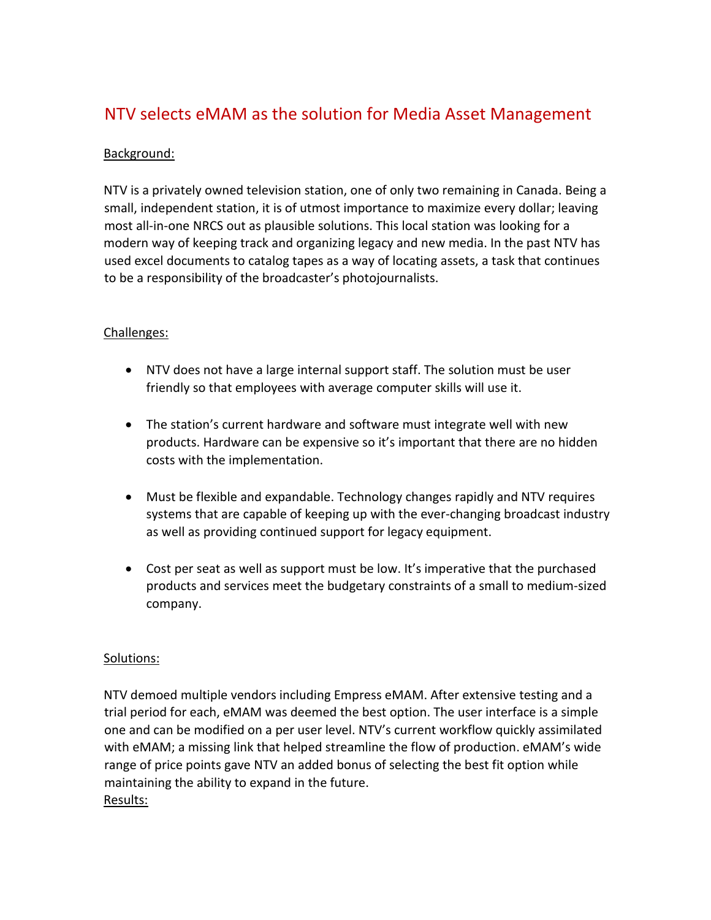# NTV selects eMAM as the solution for Media Asset Management

## Background:

NTV is a privately owned television station, one of only two remaining in Canada. Being a small, independent station, it is of utmost importance to maximize every dollar; leaving most all-in-one NRCS out as plausible solutions. This local station was looking for a modern way of keeping track and organizing legacy and new media. In the past NTV has used excel documents to catalog tapes as a way of locating assets, a task that continues to be a responsibility of the broadcaster's photojournalists.

### Challenges:

- NTV does not have a large internal support staff. The solution must be user friendly so that employees with average computer skills will use it.
- The station's current hardware and software must integrate well with new products. Hardware can be expensive so it's important that there are no hidden costs with the implementation.
- Must be flexible and expandable. Technology changes rapidly and NTV requires systems that are capable of keeping up with the ever-changing broadcast industry as well as providing continued support for legacy equipment.
- Cost per seat as well as support must be low. It's imperative that the purchased products and services meet the budgetary constraints of a small to medium-sized company.

## Solutions:

NTV demoed multiple vendors including Empress eMAM. After extensive testing and a trial period for each, eMAM was deemed the best option. The user interface is a simple one and can be modified on a per user level. NTV's current workflow quickly assimilated with eMAM; a missing link that helped streamline the flow of production. eMAM's wide range of price points gave NTV an added bonus of selecting the best fit option while maintaining the ability to expand in the future. Results: